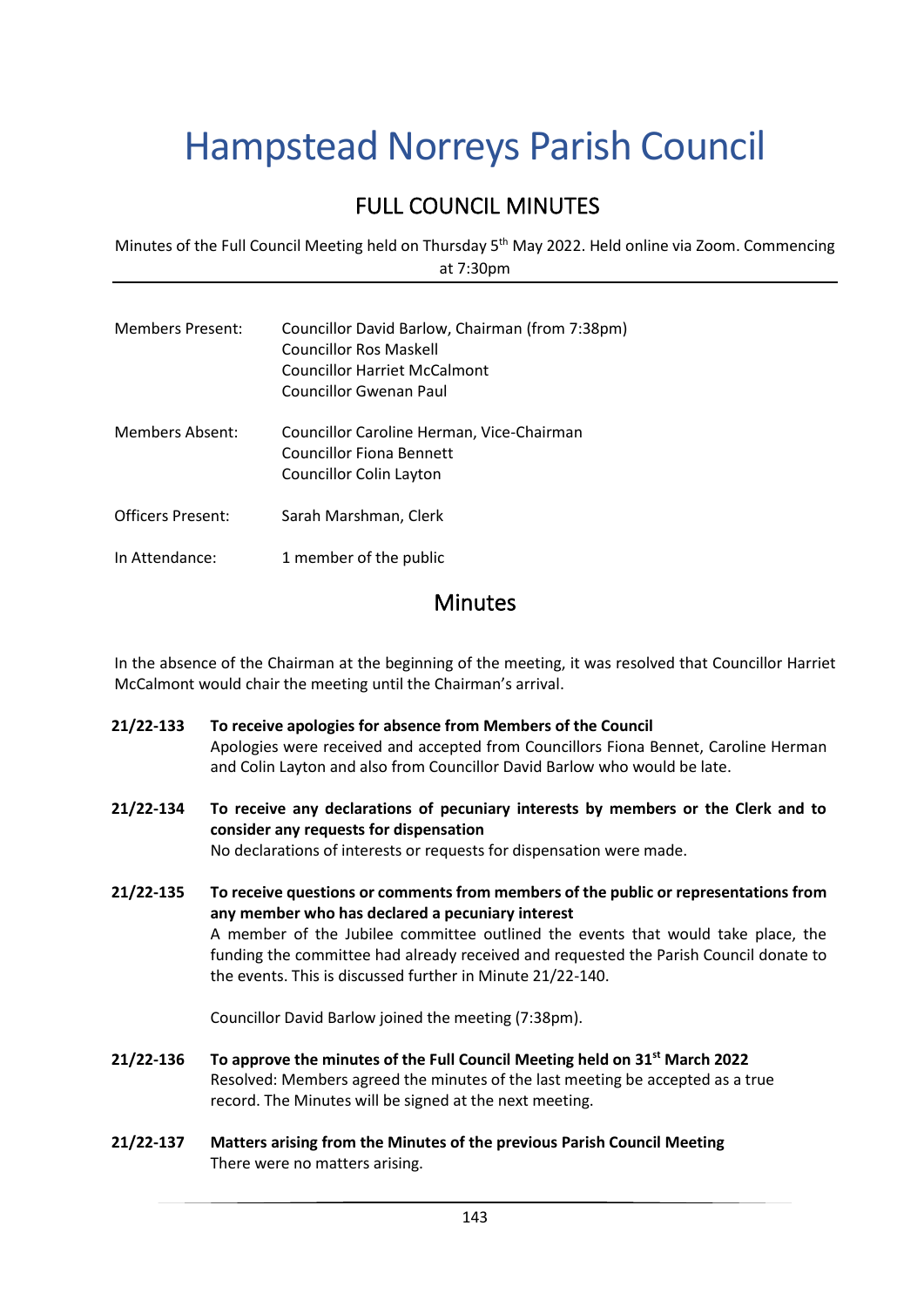# Hampstead Norreys Parish Council

## FULL COUNCIL MINUTES

Minutes of the Full Council Meeting held on Thursday 5<sup>th</sup> May 2022. Held online via Zoom. Commencing at 7:30pm

| <b>Members Present:</b>  | Councillor David Barlow, Chairman (from 7:38pm)<br>Councillor Ros Maskell<br>Councillor Harriet McCalmont<br><b>Councillor Gwenan Paul</b> |
|--------------------------|--------------------------------------------------------------------------------------------------------------------------------------------|
| Members Absent:          | Councillor Caroline Herman, Vice-Chairman<br>Councillor Fiona Bennett<br>Councillor Colin Layton                                           |
| <b>Officers Present:</b> | Sarah Marshman, Clerk                                                                                                                      |
| In Attendance:           | 1 member of the public                                                                                                                     |

### Minutes

In the absence of the Chairman at the beginning of the meeting, it was resolved that Councillor Harriet McCalmont would chair the meeting until the Chairman's arrival.

- **21/22-133 To receive apologies for absence from Members of the Council** Apologies were received and accepted from Councillors Fiona Bennet, Caroline Herman and Colin Layton and also from Councillor David Barlow who would be late.
- **21/22-134 To receive any declarations of pecuniary interests by members or the Clerk and to consider any requests for dispensation** No declarations of interests or requests for dispensation were made.
- **21/22-135 To receive questions or comments from members of the public or representations from any member who has declared a pecuniary interest** A member of the Jubilee committee outlined the events that would take place, the funding the committee had already received and requested the Parish Council donate to the events. This is discussed further in Minute 21/22-140.

Councillor David Barlow joined the meeting (7:38pm).

- **21/22-136 To approve the minutes of the Full Council Meeting held on 31st March 2022** Resolved: Members agreed the minutes of the last meeting be accepted as a true record. The Minutes will be signed at the next meeting.
- **21/22-137 Matters arising from the Minutes of the previous Parish Council Meeting** There were no matters arising.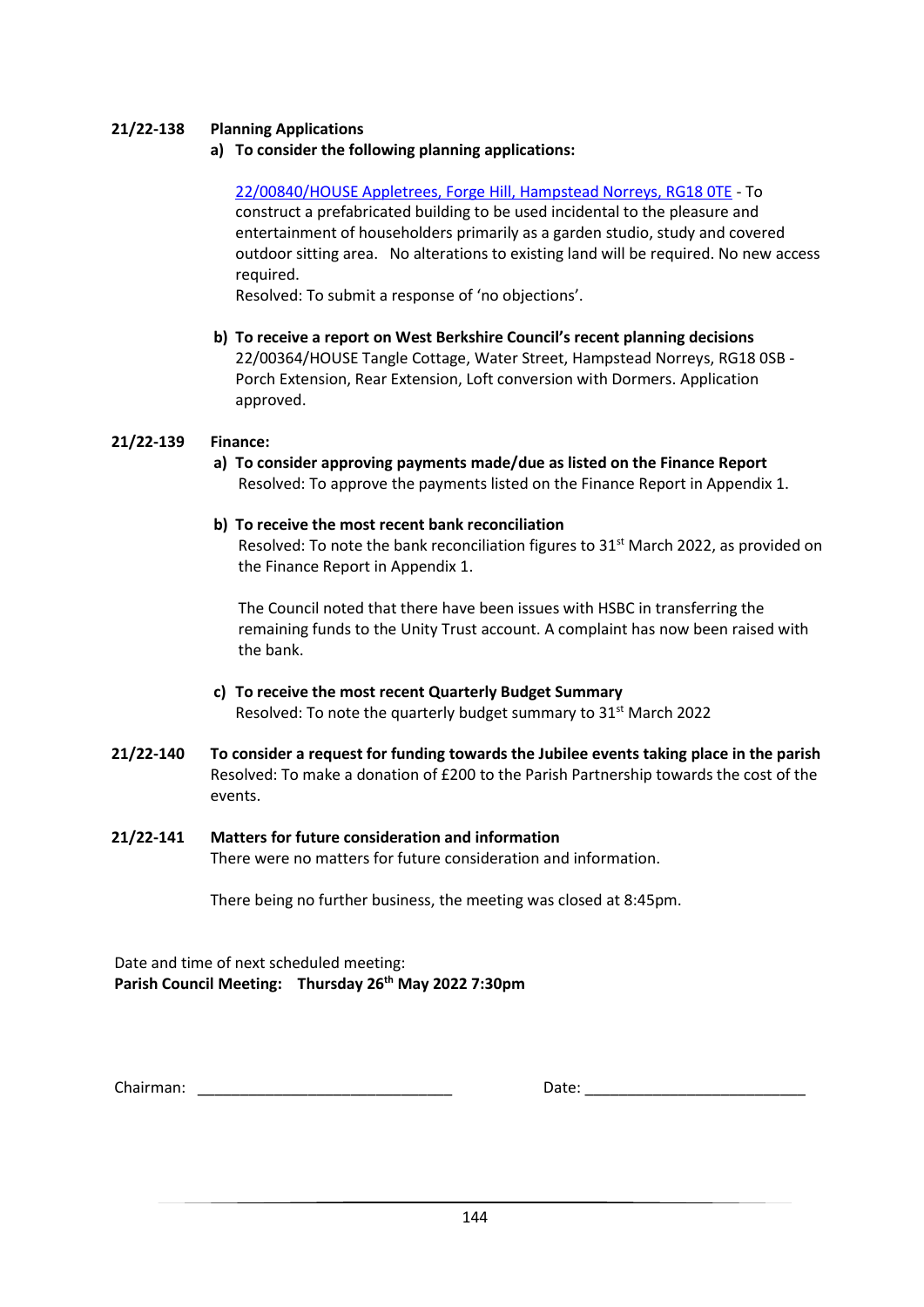#### **21/22-138 Planning Applications**

**a) To consider the following planning applications:**

[22/00840/HOUSE Appletrees, Forge Hill, Hampstead Norreys, RG18 0TE](http://planning.westberks.gov.uk/rpp/index.asp?caseref=22/00840/HOUSE) - To construct a prefabricated building to be used incidental to the pleasure and entertainment of householders primarily as a garden studio, study and covered outdoor sitting area. No alterations to existing land will be required. No new access required.

Resolved: To submit a response of 'no objections'.

**b) To receive a report on West Berkshire Council's recent planning decisions** 22/00364/HOUSE Tangle Cottage, Water Street, Hampstead Norreys, RG18 0SB - Porch Extension, Rear Extension, Loft conversion with Dormers. Application approved.

#### **21/22-139 Finance:**

**a) To consider approving payments made/due as listed on the Finance Report** Resolved: To approve the payments listed on the Finance Report in Appendix 1.

#### **b) To receive the most recent bank reconciliation**

Resolved: To note the bank reconciliation figures to 31<sup>st</sup> March 2022, as provided on the Finance Report in Appendix 1.

The Council noted that there have been issues with HSBC in transferring the remaining funds to the Unity Trust account. A complaint has now been raised with the bank.

- **c) To receive the most recent Quarterly Budget Summary** Resolved: To note the quarterly budget summary to  $31<sup>st</sup>$  March 2022
- **21/22-140 To consider a request for funding towards the Jubilee events taking place in the parish** Resolved: To make a donation of £200 to the Parish Partnership towards the cost of the events.

#### **21/22-141 Matters for future consideration and information**  There were no matters for future consideration and information.

There being no further business, the meeting was closed at 8:45pm.

Date and time of next scheduled meeting: **Parish Council Meeting: Thursday 26th May 2022 7:30pm**

Chairman: \_\_\_\_\_\_\_\_\_\_\_\_\_\_\_\_\_\_\_\_\_\_\_\_\_\_\_\_\_\_ Date: \_\_\_\_\_\_\_\_\_\_\_\_\_\_\_\_\_\_\_\_\_\_\_\_\_\_